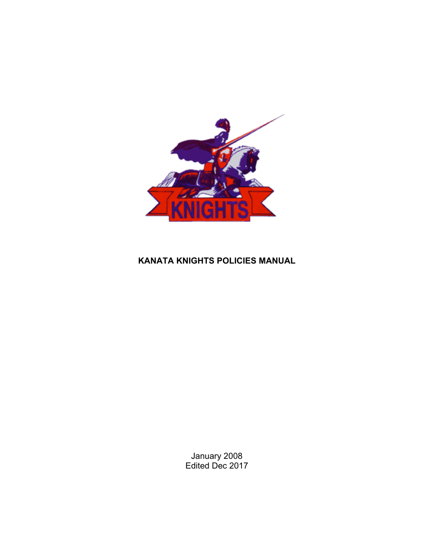

### **KANATA KNIGHTS POLICIES MANUAL**

January 2008 Edited Dec 2017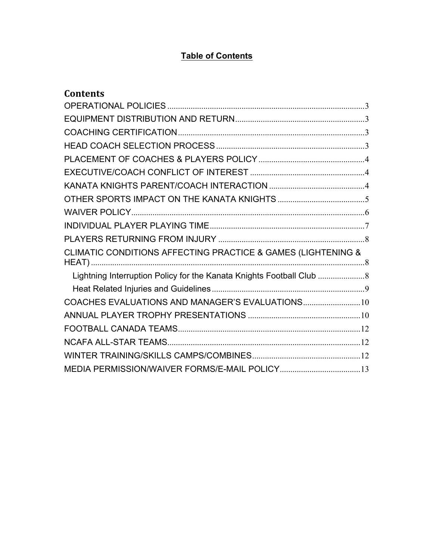# **Table of Contents**

| <b>Contents</b>                                                    |  |
|--------------------------------------------------------------------|--|
|                                                                    |  |
|                                                                    |  |
|                                                                    |  |
|                                                                    |  |
|                                                                    |  |
|                                                                    |  |
|                                                                    |  |
|                                                                    |  |
|                                                                    |  |
|                                                                    |  |
|                                                                    |  |
| CLIMATIC CONDITIONS AFFECTING PRACTICE & GAMES (LIGHTENING &       |  |
| Lightning Interruption Policy for the Kanata Knights Football Club |  |
|                                                                    |  |
|                                                                    |  |
|                                                                    |  |
|                                                                    |  |
|                                                                    |  |
|                                                                    |  |
|                                                                    |  |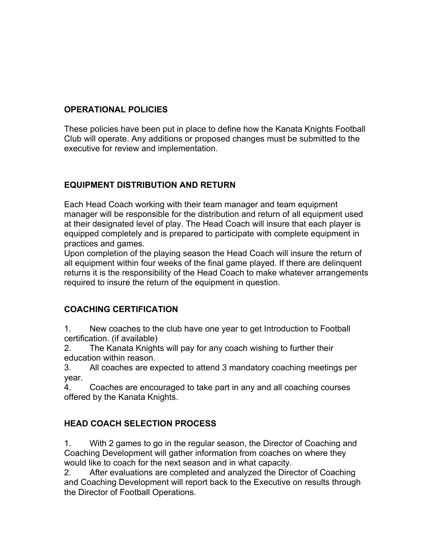### **OPERATIONAL POLICIES**

These policies have been put in place to define how the Kanata Knights Football Club will operate. Any additions or proposed changes must be submitted to the executive for review and implementation.

### **EQUIPMENT DISTRIBUTION AND RETURN**

Each Head Coach working with their team manager and team equipment manager will be responsible for the distribution and return of all equipment used at their designated level of play. The Head Coach will insure that each player is equipped completely and is prepared to participate with complete equipment in practices and games.

Upon completion of the playing season the Head Coach will insure the return of all equipment within four weeks of the final game played. If there are delinquent returns it is the responsibility of the Head Coach to make whatever arrangements required to insure the return of the equipment in question.

### **COACHING CERTIFICATION**

1. New coaches to the club have one year to get Introduction to Football certification. (if available)

2. The Kanata Knights will pay for any coach wishing to further their education within reason.

3. All coaches are expected to attend 3 mandatory coaching meetings per year.

4. Coaches are encouraged to take part in any and all coaching courses offered by the Kanata Knights.

## **HEAD COACH SELECTION PROCESS**

1. With 2 games to go in the regular season, the Director of Coaching and Coaching Development will gather information from coaches on where they would like to coach for the next season and in what capacity.

2. After evaluations are completed and analyzed the Director of Coaching and Coaching Development will report back to the Executive on results through the Director of Football Operations.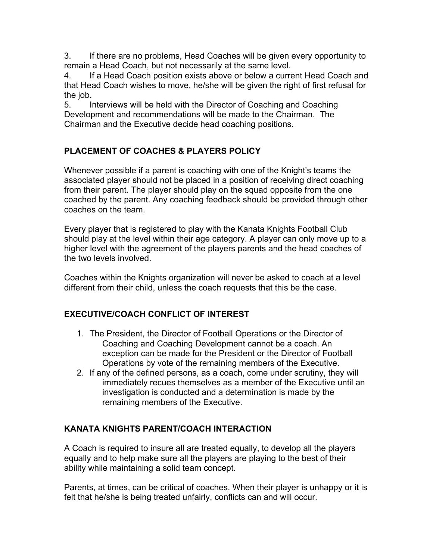3. If there are no problems, Head Coaches will be given every opportunity to remain a Head Coach, but not necessarily at the same level.

4. If a Head Coach position exists above or below a current Head Coach and that Head Coach wishes to move, he/she will be given the right of first refusal for the job.

5. Interviews will be held with the Director of Coaching and Coaching Development and recommendations will be made to the Chairman. The Chairman and the Executive decide head coaching positions.

# **PLACEMENT OF COACHES & PLAYERS POLICY**

Whenever possible if a parent is coaching with one of the Knight's teams the associated player should not be placed in a position of receiving direct coaching from their parent. The player should play on the squad opposite from the one coached by the parent. Any coaching feedback should be provided through other coaches on the team.

Every player that is registered to play with the Kanata Knights Football Club should play at the level within their age category. A player can only move up to a higher level with the agreement of the players parents and the head coaches of the two levels involved.

Coaches within the Knights organization will never be asked to coach at a level different from their child, unless the coach requests that this be the case.

## **EXECUTIVE/COACH CONFLICT OF INTEREST**

- 1. The President, the Director of Football Operations or the Director of Coaching and Coaching Development cannot be a coach. An exception can be made for the President or the Director of Football Operations by vote of the remaining members of the Executive.
- 2. If any of the defined persons, as a coach, come under scrutiny, they will immediately recues themselves as a member of the Executive until an investigation is conducted and a determination is made by the remaining members of the Executive.

## **KANATA KNIGHTS PARENT/COACH INTERACTION**

A Coach is required to insure all are treated equally, to develop all the players equally and to help make sure all the players are playing to the best of their ability while maintaining a solid team concept.

Parents, at times, can be critical of coaches. When their player is unhappy or it is felt that he/she is being treated unfairly, conflicts can and will occur.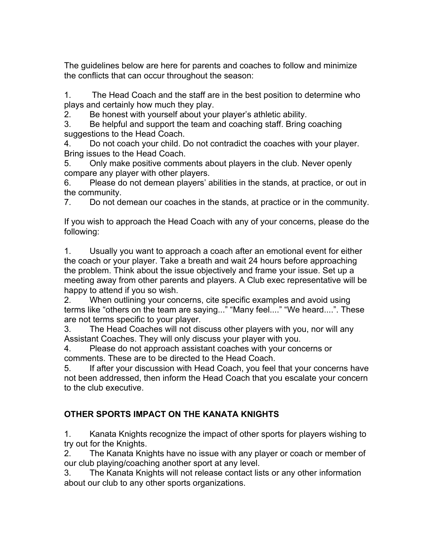The guidelines below are here for parents and coaches to follow and minimize the conflicts that can occur throughout the season:

1. The Head Coach and the staff are in the best position to determine who plays and certainly how much they play.

2. Be honest with yourself about your player's athletic ability.

3. Be helpful and support the team and coaching staff. Bring coaching suggestions to the Head Coach.

4. Do not coach your child. Do not contradict the coaches with your player. Bring issues to the Head Coach.

5. Only make positive comments about players in the club. Never openly compare any player with other players.

6. Please do not demean players' abilities in the stands, at practice, or out in the community.

7. Do not demean our coaches in the stands, at practice or in the community.

If you wish to approach the Head Coach with any of your concerns, please do the following:

1. Usually you want to approach a coach after an emotional event for either the coach or your player. Take a breath and wait 24 hours before approaching the problem. Think about the issue objectively and frame your issue. Set up a meeting away from other parents and players. A Club exec representative will be happy to attend if you so wish.

2. When outlining your concerns, cite specific examples and avoid using terms like "others on the team are saying..." "Many feel...." "We heard....". These are not terms specific to your player.

3. The Head Coaches will not discuss other players with you, nor will any Assistant Coaches. They will only discuss your player with you.

4. Please do not approach assistant coaches with your concerns or comments. These are to be directed to the Head Coach.

5. If after your discussion with Head Coach, you feel that your concerns have not been addressed, then inform the Head Coach that you escalate your concern to the club executive.

# **OTHER SPORTS IMPACT ON THE KANATA KNIGHTS**

1. Kanata Knights recognize the impact of other sports for players wishing to try out for the Knights.

2. The Kanata Knights have no issue with any player or coach or member of our club playing/coaching another sport at any level.

3. The Kanata Knights will not release contact lists or any other information about our club to any other sports organizations.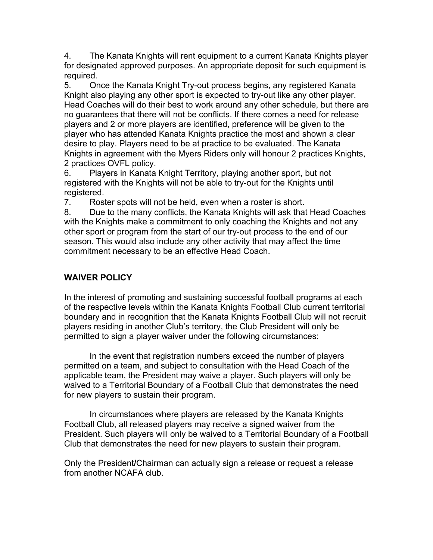4. The Kanata Knights will rent equipment to a current Kanata Knights player for designated approved purposes. An appropriate deposit for such equipment is required.

5. Once the Kanata Knight Try-out process begins, any registered Kanata Knight also playing any other sport is expected to try-out like any other player. Head Coaches will do their best to work around any other schedule, but there are no guarantees that there will not be conflicts. If there comes a need for release players and 2 or more players are identified, preference will be given to the player who has attended Kanata Knights practice the most and shown a clear desire to play. Players need to be at practice to be evaluated. The Kanata Knights in agreement with the Myers Riders only will honour 2 practices Knights, 2 practices OVFL policy.

6. Players in Kanata Knight Territory, playing another sport, but not registered with the Knights will not be able to try-out for the Knights until registered.

7. Roster spots will not be held, even when a roster is short.

8. Due to the many conflicts, the Kanata Knights will ask that Head Coaches with the Knights make a commitment to only coaching the Knights and not any other sport or program from the start of our try-out process to the end of our season. This would also include any other activity that may affect the time commitment necessary to be an effective Head Coach.

# **WAIVER POLICY**

In the interest of promoting and sustaining successful football programs at each of the respective levels within the Kanata Knights Football Club current territorial boundary and in recognition that the Kanata Knights Football Club will not recruit players residing in another Club's territory, the Club President will only be permitted to sign a player waiver under the following circumstances:

In the event that registration numbers exceed the number of players permitted on a team, and subject to consultation with the Head Coach of the applicable team, the President may waive a player. Such players will only be waived to a Territorial Boundary of a Football Club that demonstrates the need for new players to sustain their program.

In circumstances where players are released by the Kanata Knights Football Club, all released players may receive a signed waiver from the President. Such players will only be waived to a Territorial Boundary of a Football Club that demonstrates the need for new players to sustain their program.

Only the President**/**Chairman can actually sign a release or request a release from another NCAFA club.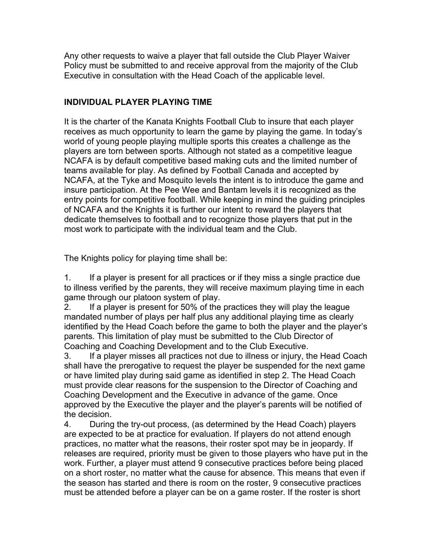Any other requests to waive a player that fall outside the Club Player Waiver Policy must be submitted to and receive approval from the majority of the Club Executive in consultation with the Head Coach of the applicable level.

### **INDIVIDUAL PLAYER PLAYING TIME**

It is the charter of the Kanata Knights Football Club to insure that each player receives as much opportunity to learn the game by playing the game. In today's world of young people playing multiple sports this creates a challenge as the players are torn between sports. Although not stated as a competitive league NCAFA is by default competitive based making cuts and the limited number of teams available for play. As defined by Football Canada and accepted by NCAFA, at the Tyke and Mosquito levels the intent is to introduce the game and insure participation. At the Pee Wee and Bantam levels it is recognized as the entry points for competitive football. While keeping in mind the guiding principles of NCAFA and the Knights it is further our intent to reward the players that dedicate themselves to football and to recognize those players that put in the most work to participate with the individual team and the Club.

The Knights policy for playing time shall be:

1. If a player is present for all practices or if they miss a single practice due to illness verified by the parents, they will receive maximum playing time in each game through our platoon system of play.

2. If a player is present for 50% of the practices they will play the league mandated number of plays per half plus any additional playing time as clearly identified by the Head Coach before the game to both the player and the player's parents. This limitation of play must be submitted to the Club Director of Coaching and Coaching Development and to the Club Executive.

3. If a player misses all practices not due to illness or injury, the Head Coach shall have the prerogative to request the player be suspended for the next game or have limited play during said game as identified in step 2. The Head Coach must provide clear reasons for the suspension to the Director of Coaching and Coaching Development and the Executive in advance of the game. Once approved by the Executive the player and the player's parents will be notified of the decision.

4. During the try-out process, (as determined by the Head Coach) players are expected to be at practice for evaluation. If players do not attend enough practices, no matter what the reasons, their roster spot may be in jeopardy. If releases are required, priority must be given to those players who have put in the work. Further, a player must attend 9 consecutive practices before being placed on a short roster, no matter what the cause for absence. This means that even if the season has started and there is room on the roster, 9 consecutive practices must be attended before a player can be on a game roster. If the roster is short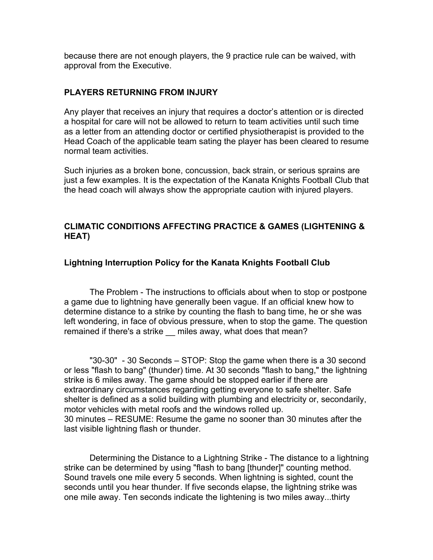because there are not enough players, the 9 practice rule can be waived, with approval from the Executive.

#### **PLAYERS RETURNING FROM INJURY**

Any player that receives an injury that requires a doctor's attention or is directed a hospital for care will not be allowed to return to team activities until such time as a letter from an attending doctor or certified physiotherapist is provided to the Head Coach of the applicable team sating the player has been cleared to resume normal team activities.

Such injuries as a broken bone, concussion, back strain, or serious sprains are just a few examples. It is the expectation of the Kanata Knights Football Club that the head coach will always show the appropriate caution with injured players.

#### **CLIMATIC CONDITIONS AFFECTING PRACTICE & GAMES (LIGHTENING & HEAT)**

#### **Lightning Interruption Policy for the Kanata Knights Football Club**

The Problem - The instructions to officials about when to stop or postpone a game due to lightning have generally been vague. If an official knew how to determine distance to a strike by counting the flash to bang time, he or she was left wondering, in face of obvious pressure, when to stop the game. The question remained if there's a strike miles away, what does that mean?

"30-30" - 30 Seconds – STOP: Stop the game when there is a 30 second or less "flash to bang" (thunder) time. At 30 seconds "flash to bang," the lightning strike is 6 miles away. The game should be stopped earlier if there are extraordinary circumstances regarding getting everyone to safe shelter. Safe shelter is defined as a solid building with plumbing and electricity or, secondarily, motor vehicles with metal roofs and the windows rolled up. 30 minutes – RESUME: Resume the game no sooner than 30 minutes after the last visible lightning flash or thunder.

Determining the Distance to a Lightning Strike - The distance to a lightning strike can be determined by using "flash to bang [thunder]" counting method. Sound travels one mile every 5 seconds. When lightning is sighted, count the seconds until you hear thunder. If five seconds elapse, the lightning strike was one mile away. Ten seconds indicate the lightening is two miles away...thirty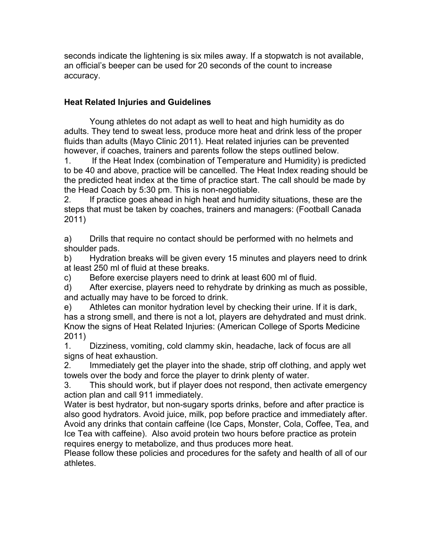seconds indicate the lightening is six miles away. If a stopwatch is not available, an official's beeper can be used for 20 seconds of the count to increase accuracy.

### **Heat Related Injuries and Guidelines**

Young athletes do not adapt as well to heat and high humidity as do adults. They tend to sweat less, produce more heat and drink less of the proper fluids than adults (Mayo Clinic 2011). Heat related injuries can be prevented however, if coaches, trainers and parents follow the steps outlined below.

1. If the Heat Index (combination of Temperature and Humidity) is predicted to be 40 and above, practice will be cancelled. The Heat Index reading should be the predicted heat index at the time of practice start. The call should be made by the Head Coach by 5:30 pm. This is non-negotiable.

2. If practice goes ahead in high heat and humidity situations, these are the steps that must be taken by coaches, trainers and managers: (Football Canada 2011)

a) Drills that require no contact should be performed with no helmets and shoulder pads.

b) Hydration breaks will be given every 15 minutes and players need to drink at least 250 ml of fluid at these breaks.

c) Before exercise players need to drink at least 600 ml of fluid.

d) After exercise, players need to rehydrate by drinking as much as possible, and actually may have to be forced to drink.

e) Athletes can monitor hydration level by checking their urine. If it is dark, has a strong smell, and there is not a lot, players are dehydrated and must drink. Know the signs of Heat Related Injuries: (American College of Sports Medicine 2011)

1. Dizziness, vomiting, cold clammy skin, headache, lack of focus are all signs of heat exhaustion.

2. Immediately get the player into the shade, strip off clothing, and apply wet towels over the body and force the player to drink plenty of water.

3. This should work, but if player does not respond, then activate emergency action plan and call 911 immediately.

Water is best hydrator, but non-sugary sports drinks, before and after practice is also good hydrators. Avoid juice, milk, pop before practice and immediately after. Avoid any drinks that contain caffeine (Ice Caps, Monster, Cola, Coffee, Tea, and Ice Tea with caffeine). Also avoid protein two hours before practice as protein requires energy to metabolize, and thus produces more heat.

Please follow these policies and procedures for the safety and health of all of our athletes.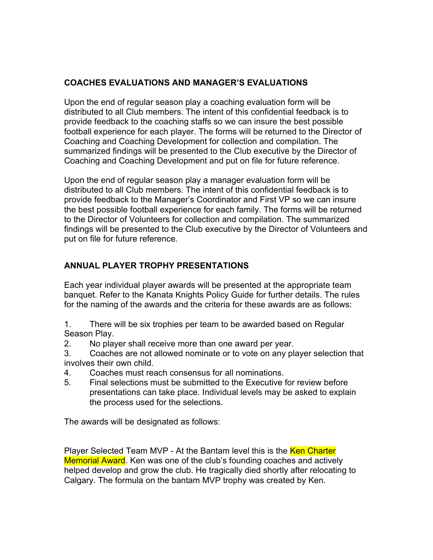### **COACHES EVALUATIONS AND MANAGER'S EVALUATIONS**

Upon the end of regular season play a coaching evaluation form will be distributed to all Club members. The intent of this confidential feedback is to provide feedback to the coaching staffs so we can insure the best possible football experience for each player. The forms will be returned to the Director of Coaching and Coaching Development for collection and compilation. The summarized findings will be presented to the Club executive by the Director of Coaching and Coaching Development and put on file for future reference.

Upon the end of regular season play a manager evaluation form will be distributed to all Club members. The intent of this confidential feedback is to provide feedback to the Manager's Coordinator and First VP so we can insure the best possible football experience for each family. The forms will be returned to the Director of Volunteers for collection and compilation. The summarized findings will be presented to the Club executive by the Director of Volunteers and put on file for future reference.

### **ANNUAL PLAYER TROPHY PRESENTATIONS**

Each year individual player awards will be presented at the appropriate team banquet. Refer to the Kanata Knights Policy Guide for further details. The rules for the naming of the awards and the criteria for these awards are as follows:

1. There will be six trophies per team to be awarded based on Regular Season Play.

- 2. No player shall receive more than one award per year.
- 3. Coaches are not allowed nominate or to vote on any player selection that involves their own child.
- 4. Coaches must reach consensus for all nominations.
- 5. Final selections must be submitted to the Executive for review before presentations can take place. Individual levels may be asked to explain the process used for the selections.

The awards will be designated as follows:

Player Selected Team MVP - At the Bantam level this is the Ken Charter Memorial Award. Ken was one of the club's founding coaches and actively helped develop and grow the club. He tragically died shortly after relocating to Calgary. The formula on the bantam MVP trophy was created by Ken.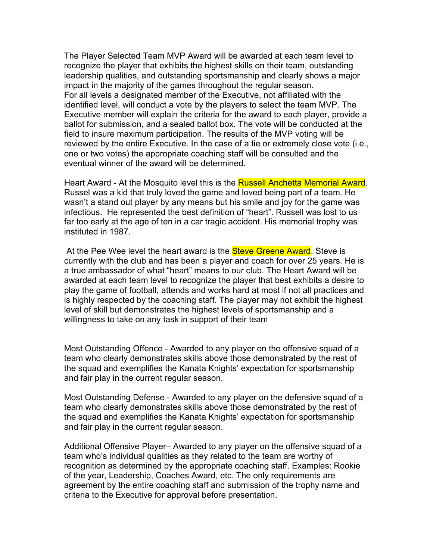The Player Selected Team MVP Award will be awarded at each team level to recognize the player that exhibits the highest skills on their team, outstanding leadership qualities, and outstanding sportsmanship and clearly shows a major impact in the majority of the games throughout the regular season. For all levels a designated member of the Executive, not affiliated with the identified level, will conduct a vote by the players to select the team MVP. The Executive member will explain the criteria for the award to each player, provide a ballot for submission, and a sealed ballot box. The vote will be conducted at the field to insure maximum participation. The results of the MVP voting will be reviewed by the entire Executive. In the case of a tie or extremely close vote (i.e., one or two votes) the appropriate coaching staff will be consulted and the eventual winner of the award will be determined.

Heart Award - At the Mosquito level this is the **Russell Anchetta Memorial Award**. Russel was a kid that truly loved the game and loved being part of a team. He wasn't a stand out player by any means but his smile and joy for the game was infectious. He represented the best definition of "heart". Russell was lost to us far too early at the age of ten in a car tragic accident. His memorial trophy was instituted in 1987.

At the Pee Wee level the heart award is the **Steve Greene Award**. Steve is currently with the club and has been a player and coach for over 25 years. He is a true ambassador of what "heart" means to our club. The Heart Award will be awarded at each team level to recognize the player that best exhibits a desire to play the game of football, attends and works hard at most if not all practices and is highly respected by the coaching staff. The player may not exhibit the highest level of skill but demonstrates the highest levels of sportsmanship and a willingness to take on any task in support of their team

Most Outstanding Offence - Awarded to any player on the offensive squad of a team who clearly demonstrates skills above those demonstrated by the rest of the squad and exemplifies the Kanata Knights' expectation for sportsmanship and fair play in the current regular season.

Most Outstanding Defense - Awarded to any player on the defensive squad of a team who clearly demonstrates skills above those demonstrated by the rest of the squad and exemplifies the Kanata Knights' expectation for sportsmanship and fair play in the current regular season.

Additional Offensive Player– Awarded to any player on the offensive squad of a team who's individual qualities as they related to the team are worthy of recognition as determined by the appropriate coaching staff. Examples: Rookie of the year, Leadership, Coaches Award, etc. The only requirements are agreement by the entire coaching staff and submission of the trophy name and criteria to the Executive for approval before presentation.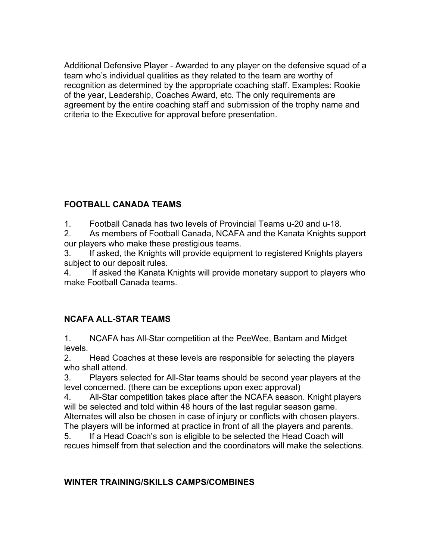Additional Defensive Player - Awarded to any player on the defensive squad of a team who's individual qualities as they related to the team are worthy of recognition as determined by the appropriate coaching staff. Examples: Rookie of the year, Leadership, Coaches Award, etc. The only requirements are agreement by the entire coaching staff and submission of the trophy name and criteria to the Executive for approval before presentation.

# **FOOTBALL CANADA TEAMS**

1. Football Canada has two levels of Provincial Teams u-20 and u-18.

2. As members of Football Canada, NCAFA and the Kanata Knights support our players who make these prestigious teams.

3. If asked, the Knights will provide equipment to registered Knights players subject to our deposit rules.

4. If asked the Kanata Knights will provide monetary support to players who make Football Canada teams.

## **NCAFA ALL-STAR TEAMS**

1. NCAFA has All-Star competition at the PeeWee, Bantam and Midget levels.

2. Head Coaches at these levels are responsible for selecting the players who shall attend.

3. Players selected for All-Star teams should be second year players at the level concerned. (there can be exceptions upon exec approval)

4. All-Star competition takes place after the NCAFA season. Knight players will be selected and told within 48 hours of the last regular season game. Alternates will also be chosen in case of injury or conflicts with chosen players.

The players will be informed at practice in front of all the players and parents. 5. If a Head Coach's son is eligible to be selected the Head Coach will

recues himself from that selection and the coordinators will make the selections.

## **WINTER TRAINING/SKILLS CAMPS/COMBINES**